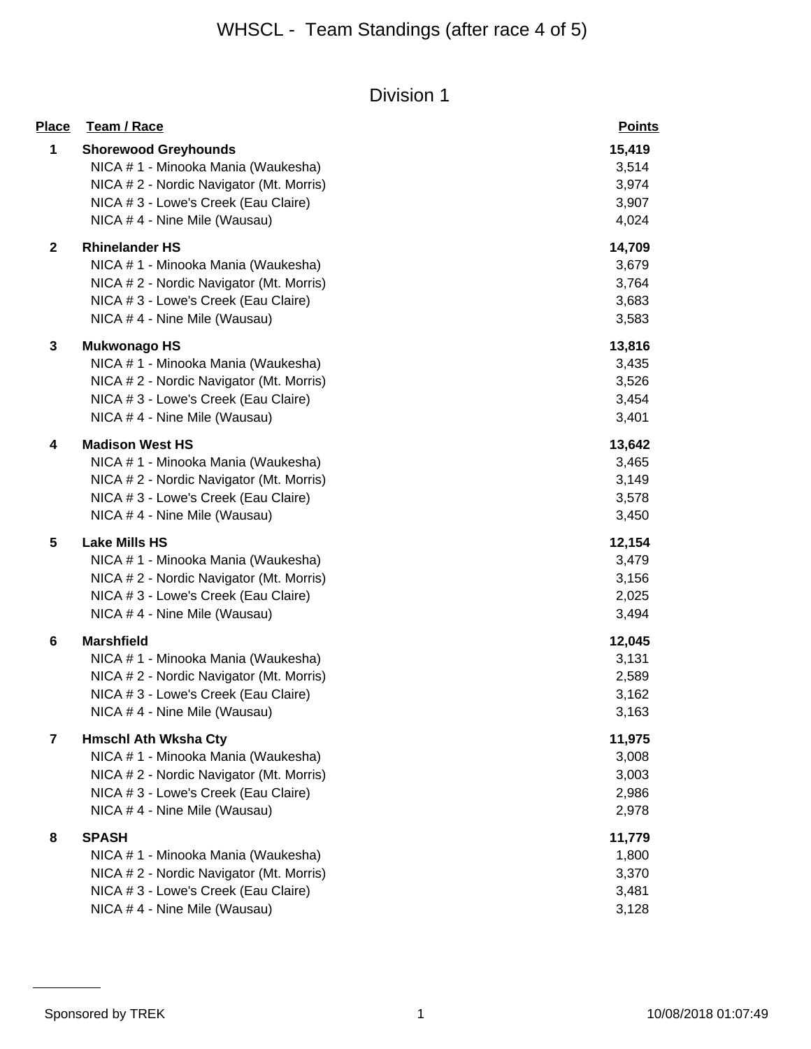| <b>Place</b>            | Team / Race                              | <b>Points</b> |
|-------------------------|------------------------------------------|---------------|
| 1                       | <b>Shorewood Greyhounds</b>              | 15,419        |
|                         | NICA # 1 - Minooka Mania (Waukesha)      | 3,514         |
|                         | NICA # 2 - Nordic Navigator (Mt. Morris) | 3,974         |
|                         | NICA # 3 - Lowe's Creek (Eau Claire)     | 3,907         |
|                         | NICA #4 - Nine Mile (Wausau)             | 4,024         |
| $\mathbf 2$             | <b>Rhinelander HS</b>                    | 14,709        |
|                         | NICA # 1 - Minooka Mania (Waukesha)      | 3,679         |
|                         | NICA # 2 - Nordic Navigator (Mt. Morris) | 3,764         |
|                         | NICA # 3 - Lowe's Creek (Eau Claire)     | 3,683         |
|                         | NICA #4 - Nine Mile (Wausau)             | 3,583         |
| 3                       | <b>Mukwonago HS</b>                      | 13,816        |
|                         | NICA # 1 - Minooka Mania (Waukesha)      | 3,435         |
|                         | NICA # 2 - Nordic Navigator (Mt. Morris) | 3,526         |
|                         | NICA # 3 - Lowe's Creek (Eau Claire)     | 3,454         |
|                         | NICA #4 - Nine Mile (Wausau)             | 3,401         |
| 4                       | <b>Madison West HS</b>                   | 13,642        |
|                         | NICA # 1 - Minooka Mania (Waukesha)      | 3,465         |
|                         | NICA # 2 - Nordic Navigator (Mt. Morris) | 3,149         |
|                         | NICA # 3 - Lowe's Creek (Eau Claire)     | 3,578         |
|                         | NICA #4 - Nine Mile (Wausau)             | 3,450         |
| 5                       | <b>Lake Mills HS</b>                     | 12,154        |
|                         | NICA # 1 - Minooka Mania (Waukesha)      | 3,479         |
|                         | NICA # 2 - Nordic Navigator (Mt. Morris) | 3,156         |
|                         | NICA # 3 - Lowe's Creek (Eau Claire)     | 2,025         |
|                         | NICA #4 - Nine Mile (Wausau)             | 3,494         |
| 6                       | <b>Marshfield</b>                        | 12,045        |
|                         | NICA # 1 - Minooka Mania (Waukesha)      | 3,131         |
|                         | NICA #2 - Nordic Navigator (Mt. Morris)  | 2,589         |
|                         | NICA # 3 - Lowe's Creek (Eau Claire)     | 3,162         |
|                         | NICA # 4 - Nine Mile (Wausau)            | 3,163         |
| $\overline{\mathbf{r}}$ | <b>Hmschl Ath Wksha Cty</b>              | 11,975        |
|                         | NICA # 1 - Minooka Mania (Waukesha)      | 3,008         |
|                         | NICA # 2 - Nordic Navigator (Mt. Morris) | 3,003         |
|                         | NICA # 3 - Lowe's Creek (Eau Claire)     | 2,986         |
|                         | NICA # 4 - Nine Mile (Wausau)            | 2,978         |
| 8                       | <b>SPASH</b>                             | 11,779        |
|                         | NICA # 1 - Minooka Mania (Waukesha)      | 1,800         |
|                         | NICA #2 - Nordic Navigator (Mt. Morris)  | 3,370         |
|                         | NICA # 3 - Lowe's Creek (Eau Claire)     | 3,481         |
|                         | NICA # 4 - Nine Mile (Wausau)            | 3,128         |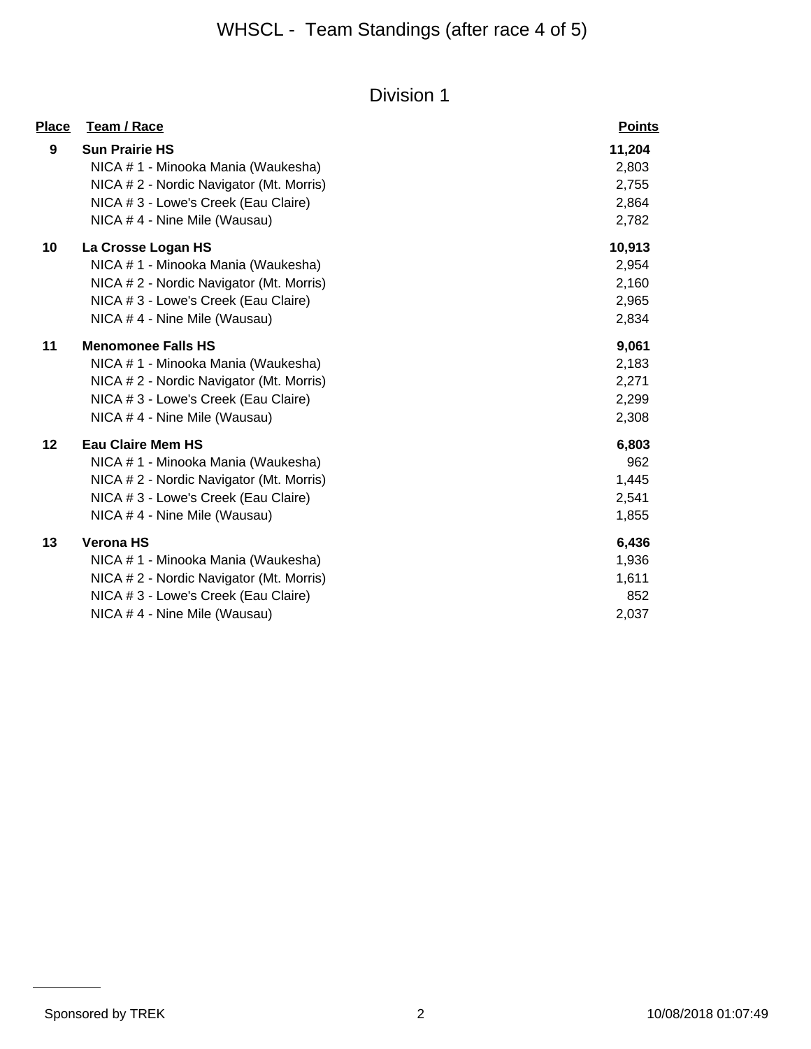| <u>Place</u> | Team / Race                              | <b>Points</b> |
|--------------|------------------------------------------|---------------|
| 9            | <b>Sun Prairie HS</b>                    | 11,204        |
|              | NICA # 1 - Minooka Mania (Waukesha)      | 2,803         |
|              | NICA # 2 - Nordic Navigator (Mt. Morris) | 2,755         |
|              | NICA # 3 - Lowe's Creek (Eau Claire)     | 2,864         |
|              | NICA #4 - Nine Mile (Wausau)             | 2,782         |
| 10           | La Crosse Logan HS                       | 10,913        |
|              | NICA # 1 - Minooka Mania (Waukesha)      | 2,954         |
|              | NICA # 2 - Nordic Navigator (Mt. Morris) | 2,160         |
|              | NICA # 3 - Lowe's Creek (Eau Claire)     | 2,965         |
|              | NICA #4 - Nine Mile (Wausau)             | 2,834         |
| 11           | <b>Menomonee Falls HS</b>                | 9,061         |
|              | NICA # 1 - Minooka Mania (Waukesha)      | 2,183         |
|              | NICA # 2 - Nordic Navigator (Mt. Morris) | 2,271         |
|              | NICA # 3 - Lowe's Creek (Eau Claire)     | 2,299         |
|              | NICA #4 - Nine Mile (Wausau)             | 2,308         |
| 12           | <b>Eau Claire Mem HS</b>                 | 6,803         |
|              | NICA # 1 - Minooka Mania (Waukesha)      | 962           |
|              | NICA # 2 - Nordic Navigator (Mt. Morris) | 1,445         |
|              | NICA # 3 - Lowe's Creek (Eau Claire)     | 2,541         |
|              | NICA #4 - Nine Mile (Wausau)             | 1,855         |
| 13           | <b>Verona HS</b>                         | 6,436         |
|              | NICA # 1 - Minooka Mania (Waukesha)      | 1,936         |
|              | NICA # 2 - Nordic Navigator (Mt. Morris) | 1,611         |
|              | NICA # 3 - Lowe's Creek (Eau Claire)     | 852           |
|              | NICA #4 - Nine Mile (Wausau)             | 2,037         |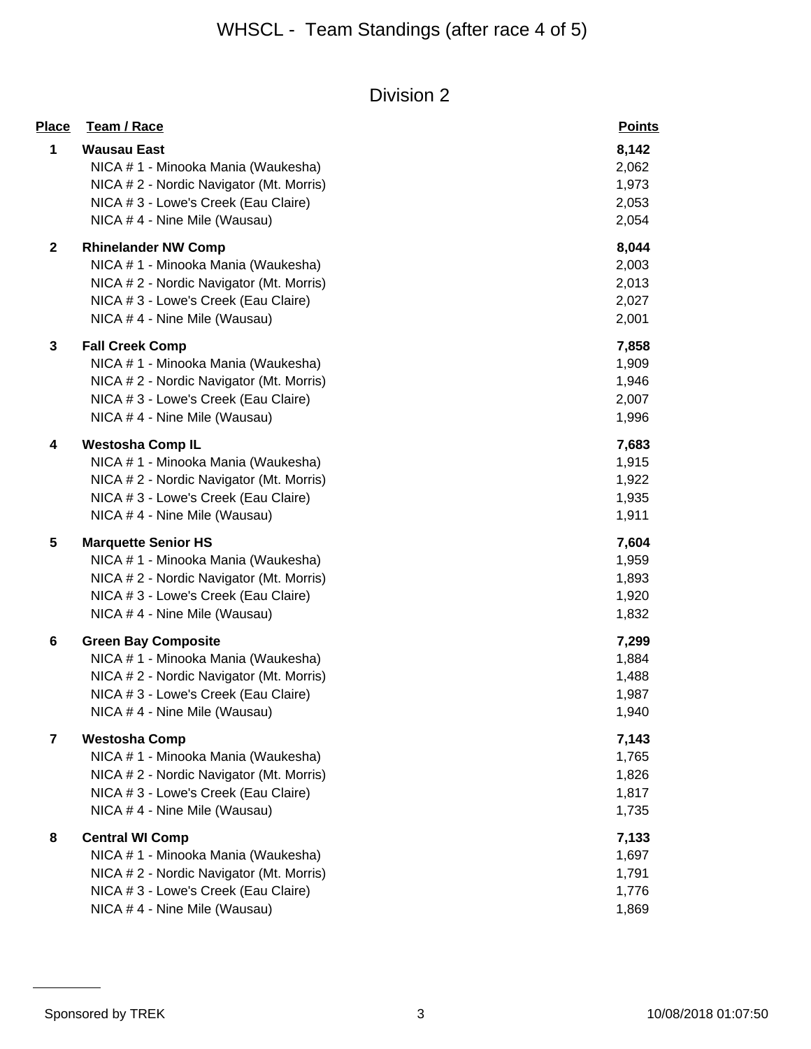| <b>Place</b>            | Team / Race                                                                                                                                                                           | <b>Points</b>                             |
|-------------------------|---------------------------------------------------------------------------------------------------------------------------------------------------------------------------------------|-------------------------------------------|
| 1                       | <b>Wausau East</b><br>NICA # 1 - Minooka Mania (Waukesha)<br>NICA # 2 - Nordic Navigator (Mt. Morris)<br>NICA # 3 - Lowe's Creek (Eau Claire)<br>NICA # 4 - Nine Mile (Wausau)        | 8,142<br>2,062<br>1,973<br>2,053<br>2,054 |
| $\mathbf{2}$            | <b>Rhinelander NW Comp</b><br>NICA # 1 - Minooka Mania (Waukesha)<br>NICA #2 - Nordic Navigator (Mt. Morris)<br>NICA # 3 - Lowe's Creek (Eau Claire)<br>NICA #4 - Nine Mile (Wausau)  | 8,044<br>2,003<br>2,013<br>2,027<br>2,001 |
| 3                       | <b>Fall Creek Comp</b><br>NICA # 1 - Minooka Mania (Waukesha)<br>NICA # 2 - Nordic Navigator (Mt. Morris)<br>NICA # 3 - Lowe's Creek (Eau Claire)<br>NICA #4 - Nine Mile (Wausau)     | 7,858<br>1,909<br>1,946<br>2,007<br>1,996 |
| 4                       | <b>Westosha Comp IL</b><br>NICA # 1 - Minooka Mania (Waukesha)<br>NICA # 2 - Nordic Navigator (Mt. Morris)<br>NICA # 3 - Lowe's Creek (Eau Claire)<br>NICA #4 - Nine Mile (Wausau)    | 7,683<br>1,915<br>1,922<br>1,935<br>1,911 |
| 5                       | <b>Marquette Senior HS</b><br>NICA # 1 - Minooka Mania (Waukesha)<br>NICA # 2 - Nordic Navigator (Mt. Morris)<br>NICA # 3 - Lowe's Creek (Eau Claire)<br>NICA #4 - Nine Mile (Wausau) | 7,604<br>1,959<br>1,893<br>1,920<br>1,832 |
| 6                       | <b>Green Bay Composite</b><br>NICA # 1 - Minooka Mania (Waukesha)<br>NICA #2 - Nordic Navigator (Mt. Morris)<br>NICA # 3 - Lowe's Creek (Eau Claire)<br>NICA # 4 - Nine Mile (Wausau) | 7,299<br>1,884<br>1,488<br>1,987<br>1,940 |
| $\overline{\mathbf{r}}$ | <b>Westosha Comp</b><br>NICA # 1 - Minooka Mania (Waukesha)<br>NICA # 2 - Nordic Navigator (Mt. Morris)<br>NICA # 3 - Lowe's Creek (Eau Claire)<br>NICA #4 - Nine Mile (Wausau)       | 7,143<br>1,765<br>1,826<br>1,817<br>1,735 |
| 8                       | <b>Central WI Comp</b><br>NICA # 1 - Minooka Mania (Waukesha)<br>NICA # 2 - Nordic Navigator (Mt. Morris)<br>NICA # 3 - Lowe's Creek (Eau Claire)<br>NICA # 4 - Nine Mile (Wausau)    | 7,133<br>1,697<br>1,791<br>1,776<br>1,869 |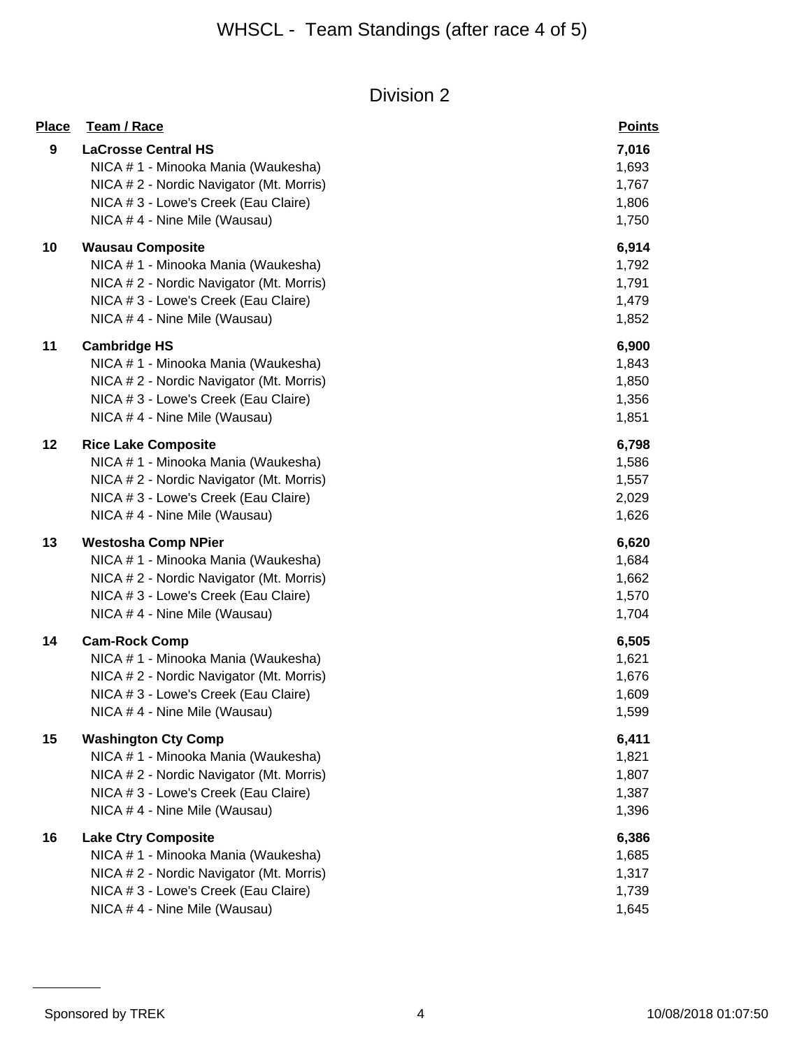| <b>Place</b> | <b>Team / Race</b>                                                                                                                                                                     | <b>Points</b>                             |
|--------------|----------------------------------------------------------------------------------------------------------------------------------------------------------------------------------------|-------------------------------------------|
| 9            | <b>LaCrosse Central HS</b><br>NICA # 1 - Minooka Mania (Waukesha)<br>NICA # 2 - Nordic Navigator (Mt. Morris)<br>NICA # 3 - Lowe's Creek (Eau Claire)<br>NICA # 4 - Nine Mile (Wausau) | 7,016<br>1,693<br>1,767<br>1,806<br>1,750 |
| 10           | <b>Wausau Composite</b><br>NICA # 1 - Minooka Mania (Waukesha)<br>NICA # 2 - Nordic Navigator (Mt. Morris)<br>NICA # 3 - Lowe's Creek (Eau Claire)<br>NICA # 4 - Nine Mile (Wausau)    | 6,914<br>1,792<br>1,791<br>1,479<br>1,852 |
| 11           | <b>Cambridge HS</b><br>NICA # 1 - Minooka Mania (Waukesha)<br>NICA # 2 - Nordic Navigator (Mt. Morris)<br>NICA # 3 - Lowe's Creek (Eau Claire)<br>NICA # 4 - Nine Mile (Wausau)        | 6,900<br>1,843<br>1,850<br>1,356<br>1,851 |
| 12           | <b>Rice Lake Composite</b><br>NICA # 1 - Minooka Mania (Waukesha)<br>NICA # 2 - Nordic Navigator (Mt. Morris)<br>NICA # 3 - Lowe's Creek (Eau Claire)<br>NICA # 4 - Nine Mile (Wausau) | 6,798<br>1,586<br>1,557<br>2,029<br>1,626 |
| 13           | <b>Westosha Comp NPier</b><br>NICA # 1 - Minooka Mania (Waukesha)<br>NICA # 2 - Nordic Navigator (Mt. Morris)<br>NICA # 3 - Lowe's Creek (Eau Claire)<br>NICA # 4 - Nine Mile (Wausau) | 6,620<br>1,684<br>1,662<br>1,570<br>1,704 |
| 14           | <b>Cam-Rock Comp</b><br>NICA # 1 - Minooka Mania (Waukesha)<br>NICA # 2 - Nordic Navigator (Mt. Morris)<br>NICA # 3 - Lowe's Creek (Eau Claire)<br>NICA # 4 - Nine Mile (Wausau)       | 6,505<br>1,621<br>1,676<br>1,609<br>1,599 |
| 15           | <b>Washington Cty Comp</b><br>NICA #1 - Minooka Mania (Waukesha)<br>NICA # 2 - Nordic Navigator (Mt. Morris)<br>NICA # 3 - Lowe's Creek (Eau Claire)<br>NICA # 4 - Nine Mile (Wausau)  | 6,411<br>1,821<br>1,807<br>1,387<br>1,396 |
| 16           | <b>Lake Ctry Composite</b><br>NICA # 1 - Minooka Mania (Waukesha)<br>NICA # 2 - Nordic Navigator (Mt. Morris)<br>NICA # 3 - Lowe's Creek (Eau Claire)<br>NICA # 4 - Nine Mile (Wausau) | 6,386<br>1,685<br>1,317<br>1,739<br>1,645 |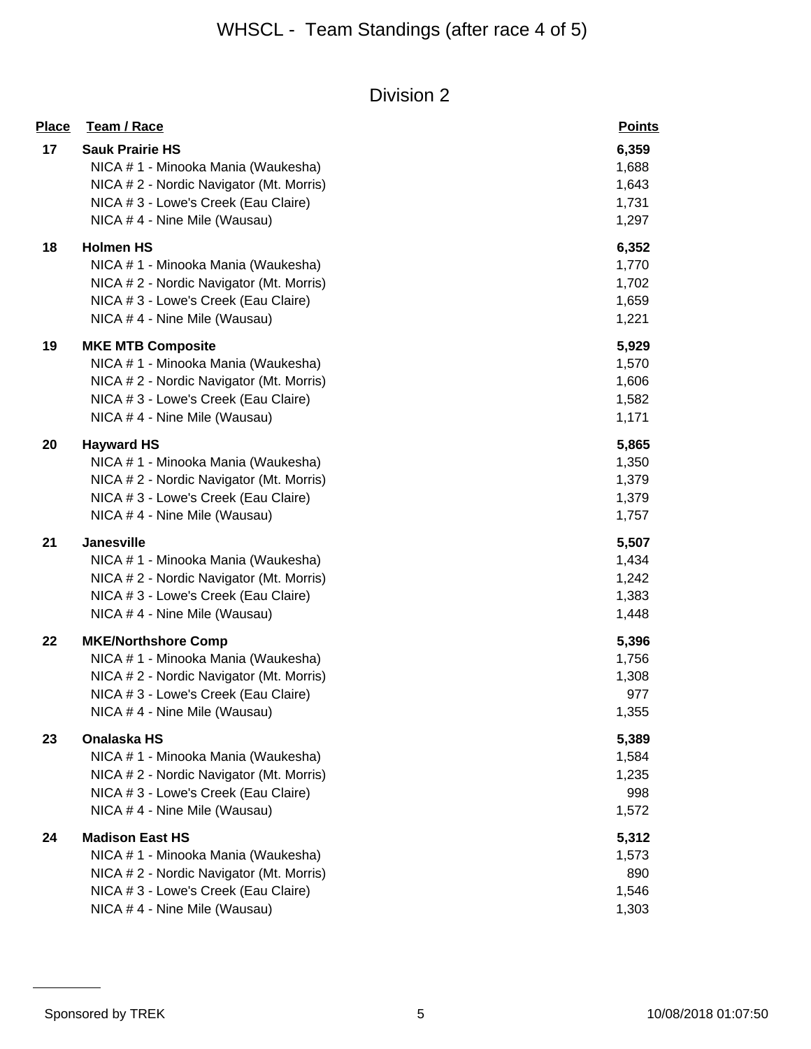| <b>Place</b> | Team / Race                              | <b>Points</b> |
|--------------|------------------------------------------|---------------|
| 17           | <b>Sauk Prairie HS</b>                   | 6,359         |
|              | NICA #1 - Minooka Mania (Waukesha)       | 1,688         |
|              | NICA # 2 - Nordic Navigator (Mt. Morris) | 1,643         |
|              | NICA # 3 - Lowe's Creek (Eau Claire)     | 1,731         |
|              | NICA # 4 - Nine Mile (Wausau)            | 1,297         |
| 18           | <b>Holmen HS</b>                         | 6,352         |
|              | NICA # 1 - Minooka Mania (Waukesha)      | 1,770         |
|              | NICA # 2 - Nordic Navigator (Mt. Morris) | 1,702         |
|              | NICA # 3 - Lowe's Creek (Eau Claire)     | 1,659         |
|              | NICA #4 - Nine Mile (Wausau)             | 1,221         |
| 19           | <b>MKE MTB Composite</b>                 | 5,929         |
|              | NICA # 1 - Minooka Mania (Waukesha)      | 1,570         |
|              | NICA # 2 - Nordic Navigator (Mt. Morris) | 1,606         |
|              | NICA # 3 - Lowe's Creek (Eau Claire)     | 1,582         |
|              | NICA # 4 - Nine Mile (Wausau)            | 1,171         |
| 20           | <b>Hayward HS</b>                        | 5,865         |
|              | NICA # 1 - Minooka Mania (Waukesha)      | 1,350         |
|              | NICA #2 - Nordic Navigator (Mt. Morris)  | 1,379         |
|              | NICA # 3 - Lowe's Creek (Eau Claire)     | 1,379         |
|              | NICA # 4 - Nine Mile (Wausau)            | 1,757         |
| 21           | <b>Janesville</b>                        | 5,507         |
|              | NICA # 1 - Minooka Mania (Waukesha)      | 1,434         |
|              | NICA # 2 - Nordic Navigator (Mt. Morris) | 1,242         |
|              | NICA # 3 - Lowe's Creek (Eau Claire)     | 1,383         |
|              | NICA # 4 - Nine Mile (Wausau)            | 1,448         |
| 22           | <b>MKE/Northshore Comp</b>               | 5,396         |
|              | NICA # 1 - Minooka Mania (Waukesha)      | 1,756         |
|              | NICA # 2 - Nordic Navigator (Mt. Morris) | 1,308         |
|              | NICA # 3 - Lowe's Creek (Eau Claire)     | 977           |
|              | NICA # 4 - Nine Mile (Wausau)            | 1,355         |
| 23           | Onalaska HS                              | 5,389         |
|              | NICA # 1 - Minooka Mania (Waukesha)      | 1,584         |
|              | NICA # 2 - Nordic Navigator (Mt. Morris) | 1,235         |
|              | NICA # 3 - Lowe's Creek (Eau Claire)     | 998           |
|              | NICA # 4 - Nine Mile (Wausau)            | 1,572         |
| 24           | <b>Madison East HS</b>                   | 5,312         |
|              | NICA # 1 - Minooka Mania (Waukesha)      | 1,573         |
|              | NICA # 2 - Nordic Navigator (Mt. Morris) | 890           |
|              | NICA # 3 - Lowe's Creek (Eau Claire)     | 1,546         |
|              | NICA # 4 - Nine Mile (Wausau)            | 1,303         |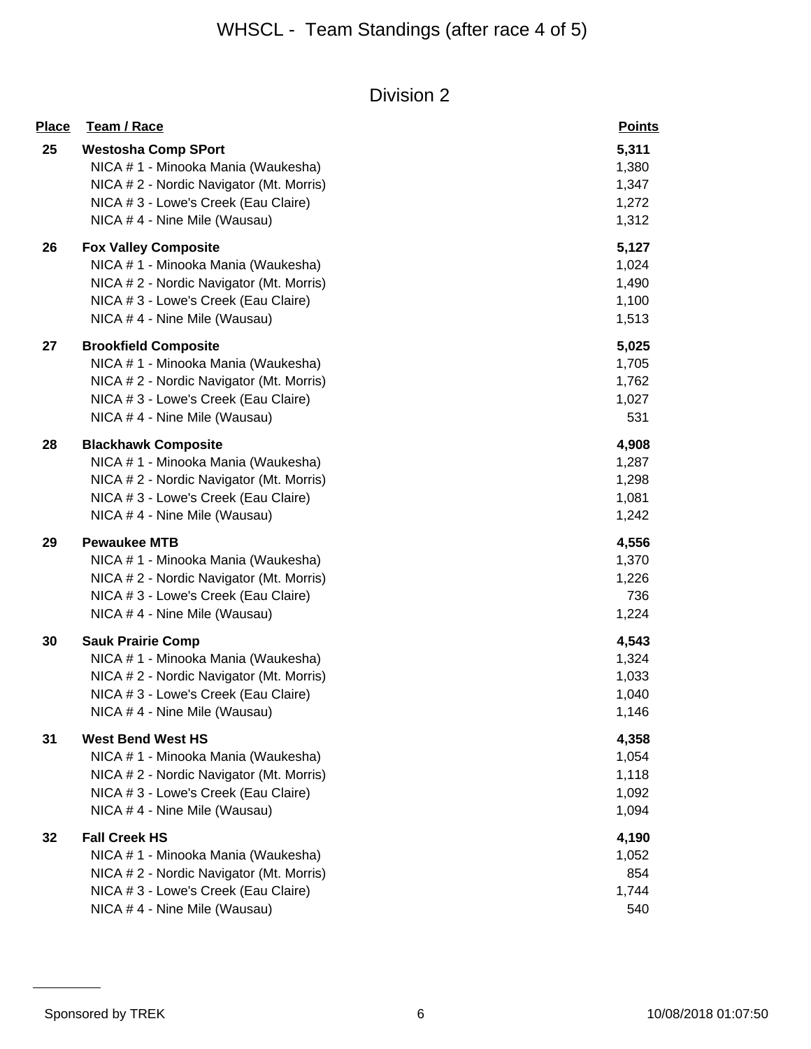| <b>Place</b> | Team / Race                                                       | <b>Points</b>  |
|--------------|-------------------------------------------------------------------|----------------|
| 25           | <b>Westosha Comp SPort</b><br>NICA # 1 - Minooka Mania (Waukesha) | 5,311<br>1,380 |
|              | NICA # 2 - Nordic Navigator (Mt. Morris)                          | 1,347          |
|              | NICA # 3 - Lowe's Creek (Eau Claire)                              | 1,272          |
|              | NICA # 4 - Nine Mile (Wausau)                                     | 1,312          |
| 26           | <b>Fox Valley Composite</b>                                       | 5,127          |
|              | NICA # 1 - Minooka Mania (Waukesha)                               | 1,024          |
|              | NICA # 2 - Nordic Navigator (Mt. Morris)                          | 1,490          |
|              | NICA # 3 - Lowe's Creek (Eau Claire)                              | 1,100          |
|              | NICA #4 - Nine Mile (Wausau)                                      | 1,513          |
| 27           | <b>Brookfield Composite</b>                                       | 5,025          |
|              | NICA # 1 - Minooka Mania (Waukesha)                               | 1,705          |
|              | NICA # 2 - Nordic Navigator (Mt. Morris)                          | 1,762          |
|              | NICA # 3 - Lowe's Creek (Eau Claire)                              | 1,027          |
|              | NICA # 4 - Nine Mile (Wausau)                                     | 531            |
| 28           | <b>Blackhawk Composite</b>                                        | 4,908          |
|              | NICA # 1 - Minooka Mania (Waukesha)                               | 1,287          |
|              | NICA # 2 - Nordic Navigator (Mt. Morris)                          | 1,298          |
|              | NICA # 3 - Lowe's Creek (Eau Claire)                              | 1,081          |
|              | NICA # 4 - Nine Mile (Wausau)                                     | 1,242          |
| 29           | <b>Pewaukee MTB</b>                                               | 4,556          |
|              | NICA # 1 - Minooka Mania (Waukesha)                               | 1,370          |
|              | NICA # 2 - Nordic Navigator (Mt. Morris)                          | 1,226          |
|              | NICA # 3 - Lowe's Creek (Eau Claire)                              | 736            |
|              | NICA # 4 - Nine Mile (Wausau)                                     | 1,224          |
| 30           | <b>Sauk Prairie Comp</b>                                          | 4,543          |
|              | NICA # 1 - Minooka Mania (Waukesha)                               | 1,324          |
|              | NICA # 2 - Nordic Navigator (Mt. Morris)                          | 1,033          |
|              | NICA # 3 - Lowe's Creek (Eau Claire)                              | 1,040          |
|              | NICA # 4 - Nine Mile (Wausau)                                     | 1,146          |
| 31           | <b>West Bend West HS</b>                                          | 4,358          |
|              | NICA # 1 - Minooka Mania (Waukesha)                               | 1,054          |
|              | NICA # 2 - Nordic Navigator (Mt. Morris)                          | 1,118          |
|              | NICA # 3 - Lowe's Creek (Eau Claire)                              | 1,092          |
|              | NICA # 4 - Nine Mile (Wausau)                                     | 1,094          |
| 32           | <b>Fall Creek HS</b>                                              | 4,190          |
|              | NICA # 1 - Minooka Mania (Waukesha)                               | 1,052          |
|              | NICA # 2 - Nordic Navigator (Mt. Morris)                          | 854            |
|              | NICA # 3 - Lowe's Creek (Eau Claire)                              | 1,744          |
|              | NICA # 4 - Nine Mile (Wausau)                                     | 540            |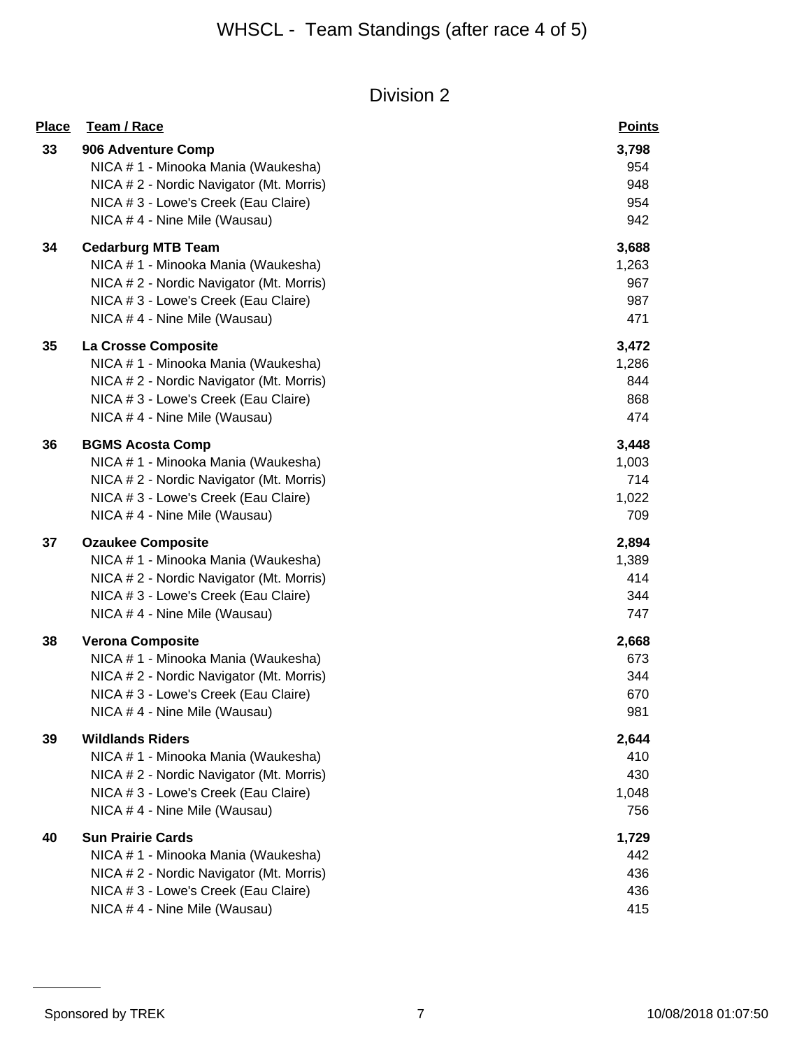| <b>Place</b> | Team / Race                              | <b>Points</b> |
|--------------|------------------------------------------|---------------|
| 33           | 906 Adventure Comp                       | 3,798         |
|              | NICA # 1 - Minooka Mania (Waukesha)      | 954           |
|              | NICA # 2 - Nordic Navigator (Mt. Morris) | 948           |
|              | NICA # 3 - Lowe's Creek (Eau Claire)     | 954           |
|              | NICA # 4 - Nine Mile (Wausau)            | 942           |
| 34           | <b>Cedarburg MTB Team</b>                | 3,688         |
|              | NICA # 1 - Minooka Mania (Waukesha)      | 1,263         |
|              | NICA # 2 - Nordic Navigator (Mt. Morris) | 967           |
|              | NICA # 3 - Lowe's Creek (Eau Claire)     | 987           |
|              | NICA #4 - Nine Mile (Wausau)             | 471           |
| 35           | La Crosse Composite                      | 3,472         |
|              | NICA # 1 - Minooka Mania (Waukesha)      | 1,286         |
|              | NICA # 2 - Nordic Navigator (Mt. Morris) | 844           |
|              | NICA # 3 - Lowe's Creek (Eau Claire)     | 868           |
|              | NICA # 4 - Nine Mile (Wausau)            | 474           |
| 36           | <b>BGMS Acosta Comp</b>                  | 3,448         |
|              | NICA # 1 - Minooka Mania (Waukesha)      | 1,003         |
|              | NICA # 2 - Nordic Navigator (Mt. Morris) | 714           |
|              | NICA # 3 - Lowe's Creek (Eau Claire)     | 1,022         |
|              | NICA # 4 - Nine Mile (Wausau)            | 709           |
| 37           | <b>Ozaukee Composite</b>                 | 2,894         |
|              | NICA # 1 - Minooka Mania (Waukesha)      | 1,389         |
|              | NICA # 2 - Nordic Navigator (Mt. Morris) | 414           |
|              | NICA # 3 - Lowe's Creek (Eau Claire)     | 344           |
|              | NICA # 4 - Nine Mile (Wausau)            | 747           |
| 38           | <b>Verona Composite</b>                  | 2,668         |
|              | NICA # 1 - Minooka Mania (Waukesha)      | 673           |
|              | NICA # 2 - Nordic Navigator (Mt. Morris) | 344           |
|              | NICA # 3 - Lowe's Creek (Eau Claire)     | 670           |
|              | NICA # 4 - Nine Mile (Wausau)            | 981           |
| 39           | <b>Wildlands Riders</b>                  | 2,644         |
|              | NICA # 1 - Minooka Mania (Waukesha)      | 410           |
|              | NICA # 2 - Nordic Navigator (Mt. Morris) | 430           |
|              | NICA #3 - Lowe's Creek (Eau Claire)      | 1,048         |
|              | NICA # 4 - Nine Mile (Wausau)            | 756           |
| 40           | <b>Sun Prairie Cards</b>                 | 1,729         |
|              | NICA # 1 - Minooka Mania (Waukesha)      | 442           |
|              | NICA # 2 - Nordic Navigator (Mt. Morris) | 436           |
|              | NICA # 3 - Lowe's Creek (Eau Claire)     | 436           |
|              | NICA # 4 - Nine Mile (Wausau)            | 415           |